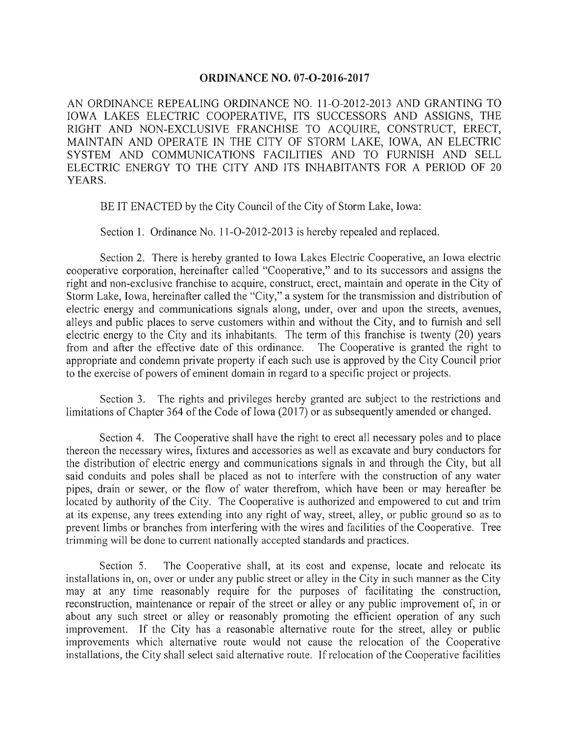## **ORDINANCE NO. 07-O-2016-2017**

AN ORDINANCE REPEALING ORDINANCE NO. 11-0-2012-2013 AND GRANTING TO IOWA LAKES ELECTRIC COOPERATIVE, ITS SUCCESSORS AND ASSIGNS, THE RIGHT AND NON-EXCLUSIVE FRANCHISE TO ACQUIRE, CONSTRUCT, ERECT, MAINTAIN AND OPERATE IN THE CITY OF STORM LAKE, IOWA, AN ELECTRIC SYSTEM AND COMMUNICATIONS FACILITIES AND TO FURNISH AND SELL ELECTRIC ENERGY TO THE CITY AND ITS INHABITANTS FOR A PERIOD OF 20 YEARS.

BE IT ENACTED by the City Council of the City of Storm Lake, Iowa:

Section 1. Ordinance No. 11-O-2012-2013 is hereby repealed and replaced.

Section 2. There is hereby granted to Iowa Lakes Electric Cooperative, an Iowa electric cooperative corporation, hereinafter called "Cooperative," and to its successors and assigns the right and non-exclusive franchise to acquire, construct, erect, maintain and operate in the City of Storm Lake, Iowa, hereinafter called the "City," a system for the transmission and distribution of electric energy and communications signals along, under, over and upon the streets, avenues, alleys and public places to serve customers within and without the City, and to furnish and sell electric energy to the City and its inhabitants. The term of this franchise is twenty (20) years from and after the effective date of this ordinance. The Cooperative is granted the right to from and after the effective date of this ordinance. appropriate and condemn private property if each such use is approved by the City Council prior to the exercise of powers of eminent domain in regard to a specific project or projects.

Section 3. The rights and privileges hereby granted are subject to the restrictions and limitations of Chapter 364 of the Code of Iowa (2017) or as subsequently amended or changed.

Section 4. The Cooperative shall have the right to erect all necessary poles and to place thereon the necessary wires, fixtures and accessories as well as excavate and bury conductors for the distribution of electric energy and communications signals in and through the City, but all said conduits and poles shall be placed as not to interfere with the construction of any water pipes, drain or sewer, or the flow of water therefrom, which have been or may hereafter be located by authority of the City. The Cooperative is authorized and empowered to cut and trim at its expense, any trees extending into any right of way, street, alley, or public ground so as to prevent limbs or branches from interfering with the wires and facilities of the Cooperative. Tree trimming will be done to current nationally accepted standards and practices.

Section 5. The Cooperative shall, at its cost and expense, locate and relocate its installations in, on, over or under any public street or alley in the City in such manner as the City may at any time reasonably require for the purposes of facilitating the construction, reconstruction, maintenance or repair of the street or alley or any public improvement of, in or about any such street or alley or reasonably promoting the efficient operation of any such improvement. If the City has a reasonable alternative route for the street, alley or public improvements which alternative route would not cause the relocation of the Cooperative installations, the City shall select said alternative route. If relocation of the Cooperative facilities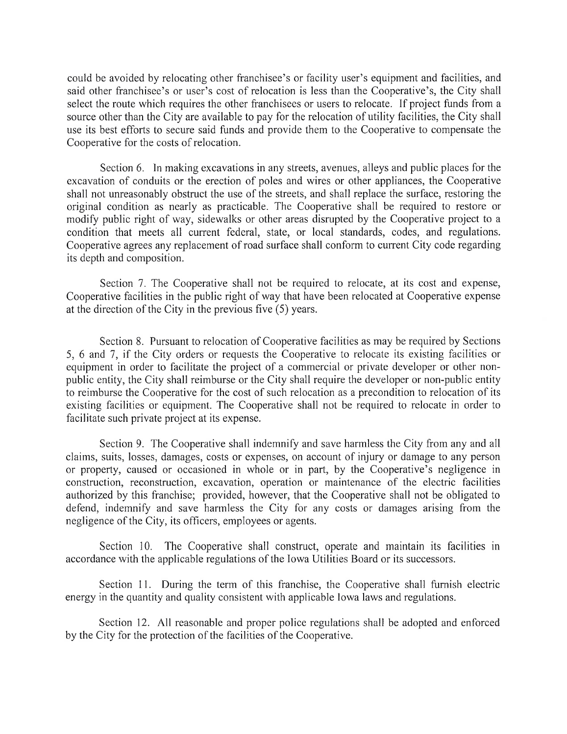could be avoided by relocating other franchisee's or facility user's equipment and facilities, and said other franchisee's or user's cost of relocation is less than the Cooperative's, the City shall select the route which requires the other franchisees or users to relocate. If project funds from a source other than the City are available to pay for the relocation of utility facilities, the City shall use its best efforts to secure said funds and provide them to the Cooperative to compensate the Cooperative for the costs of relocation.

Section 6. In making excavations in any streets, avenues, alleys and public places for the excavation of conduits or the erection of poles and wires or other appliances, the Cooperative shall not unreasonably obstruct the use of the streets, and shall replace the surface, restoring the original condition as nearly as practicable. The Cooperative shall be required to restore or modify public right of way, sidewalks or other areas disrupted by the Cooperative project to a condition that meets all current federal, state, or local standards, codes, and regulations. Cooperative agrees any replacement of road surface shall conform to current City code regarding its depth and composition.

Section 7. The Cooperative shall not be required to relocate, at its cost and expense, Cooperative facilities in the public right of way that have been relocated at Cooperative expense at the direction of the City in the previous five  $(5)$  years.

Section 8. Pursuant to relocation of Cooperative facilities as may be required by Sections 5, 6 and 7, if the City orders or requests the Cooperative to relocate its existing facilities or equipment in order to facilitate the project of a commercial or private developer or other nonpublic entity, the City shall reimburse or the City shall require the developer or non-public entity to reimburse the Cooperative for the cost of such relocation as a precondition to relocation of its existing facilities or equipment. The Cooperative shall not be required to relocate in order to facilitate such private project at its expense.

Section 9. The Cooperative shall indemnify and save harmless the City from any and all claims, suits, losses, damages, costs or expenses, on account of injury or damage to any person or property, caused or occasioned in whole or in part, by the Cooperative's negligence in construction, reconstruction, excavation, operation or maintenance of the electric facilities authorized by this franchise; provided, however, that the Cooperative shall not be obligated to defend, indemnify and save harmless the City for any costs or damages arising from the negligence of the City, its officers, employees or agents.

Section 10. The Cooperative shall construct, operate and maintain its facilities in accordance with the applicable regulations of the Iowa Utilities Board or its successors.

Section 11. During the term of this franchise, the Cooperative shall furnish electric energy in the quantity and quality consistent with applicable Iowa laws and regulations.

Section 12. All reasonable and proper police regulations shall be adopted and enforced by the City for the protection of the facilities of the Cooperative.